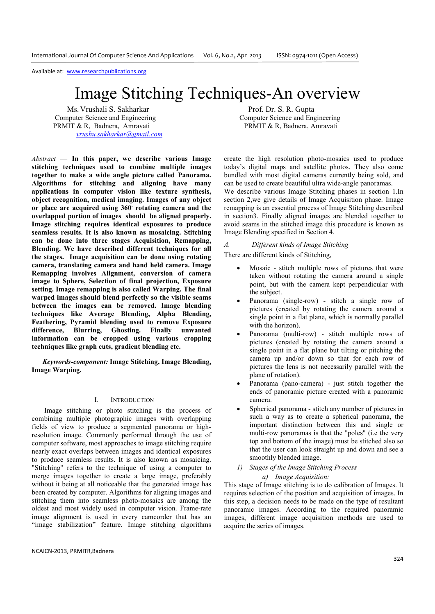International Journal Of Computer Science And Applications Vol. 6, No.2, Apr 2013 ISSN: 0974-1011 (Open Access)

Available at: www.researchpublications.org

# Image Stitching Techniques-An overview

 Ms. Vrushali S. Sakharkar Prof. Dr. S. R. Gupta Computer Science and Engineering Computer Science and Engineering PRMIT & R, Badnera, Amravati PRMIT & R, Badnera, Amravati  *vrushu.sakharkar@gmail.com*

*Abstract* — **In this paper, we describe various Image stitching techniques used to combine multiple images together to make a wide angle picture called Panorama. Algorithms for stitching and aligning have many applications in computer vision like texture synthesis, object recognition, medical imaging. Images of any object or place are acquired using 360. rotating camera and the overlapped portion of images should be aligned properly. Image stitching requires identical exposures to produce seamless results. It is also known as mosaicing. Stitching can be done into three stages Acquisition, Remapping, Blending. We have described different techniques for all the stages. Image acquisition can be done using rotating camera, translating camera and hand held camera. Image Remapping involves Alignment, conversion of camera image to Sphere, Selection of final projection, Exposure setting. Image remapping is also called Warping. The final warped images should blend perfectly so the visible seams between the images can be removed. Image blending techniques like Average Blending, Alpha Blending, Feathering, Pyramid blending used to remove Exposure difference, Blurring, Ghosting. Finally unwanted information can be cropped using various cropping techniques like graph cuts, gradient blending etc.** 

 *Keywords-component:* **Image Stitching, Image Blending, Image Warping.** 

## I. INTRODUCTION

 Image stitching or photo stitching is the process of combining multiple photographic images with overlapping fields of view to produce a segmented panorama or highresolution image. Commonly performed through the use of computer software, most approaches to image stitching require nearly exact overlaps between images and identical exposures to produce seamless results. It is also known as mosaicing. "Stitching" refers to the technique of using a computer to merge images together to create a large image, preferably without it being at all noticeable that the generated image has been created by computer. Algorithms for aligning images and stitching them into seamless photo-mosaics are among the oldest and most widely used in computer vision. Frame-rate image alignment is used in every camcorder that has an "image stabilization" feature. Image stitching algorithms create the high resolution photo-mosaics used to produce today's digital maps and satellite photos. They also come bundled with most digital cameras currently being sold, and can be used to create beautiful ultra wide-angle panoramas.

We describe various Image Stitching phases in section 1.In section 2,we give details of Image Acquisition phase. Image remapping is an essential process of Image Stitching described in section3. Finally aligned images are blended together to avoid seams in the stitched image this procedure is known as Image Blending specified in Section 4.

# *A. Different kinds of Image Stitching*

There are different kinds of Stitching,

- Mosaic stitch multiple rows of pictures that were taken without rotating the camera around a single point, but with the camera kept perpendicular with the subject.
- Panorama (single-row) stitch a single row of pictures (created by rotating the camera around a single point in a flat plane, which is normally parallel with the horizon).
- Panorama (multi-row) stitch multiple rows of pictures (created by rotating the camera around a single point in a flat plane but tilting or pitching the camera up and/or down so that for each row of pictures the lens is not necessarily parallel with the plane of rotation).
- Panorama (pano-camera) just stitch together the ends of panoramic picture created with a panoramic camera.
- Spherical panorama stitch any number of pictures in such a way as to create a spherical panorama, the important distinction between this and single or multi-row panoramas is that the "poles" (i.e the very top and bottom of the image) must be stitched also so that the user can look straight up and down and see a smoothly blended image.
- *1) Stages of the Image Stitching Process*

## *a) Image Acquisition:*

This stage of Image stitching is to do calibration of Images. It requires selection of the position and acquisition of images. In this step, a decision needs to be made on the type of resultant panoramic images. According to the required panoramic images, different image acquisition methods are used to acquire the series of images.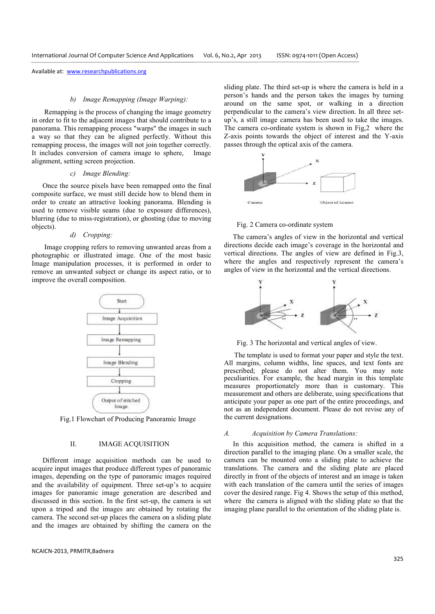#### *b) Image Remapping (Image Warping):*

 Remapping is the process of changing the image geometry in order to fit to the adjacent images that should contribute to a panorama. This remapping process "warps" the images in such a way so that they can be aligned perfectly. Without this remapping process, the images will not join together correctly. It includes conversion of camera image to sphere, Image alignment, setting screen projection.

## *c) Image Blending:*

 Once the source pixels have been remapped onto the final composite surface, we must still decide how to blend them in order to create an attractive looking panorama. Blending is used to remove visible seams (due to exposure differences), blurring (due to miss-registration), or ghosting (due to moving objects).

# *d) Cropping:*

 Image cropping refers to removing unwanted areas from a photographic or illustrated image. One of the most basic Image manipulation processes, it is performed in order to remove an unwanted subject or change its aspect ratio, or to improve the overall composition.



Fig.1 Flowchart of Producing Panoramic Image

## II. **IMAGE ACOUISITION**

 Different image acquisition methods can be used to acquire input images that produce different types of panoramic images, depending on the type of panoramic images required and the availability of equipment. Three set-up's to acquire images for panoramic image generation are described and discussed in this section. In the first set-up, the camera is set upon a tripod and the images are obtained by rotating the camera. The second set-up places the camera on a sliding plate and the images are obtained by shifting the camera on the

sliding plate. The third set-up is where the camera is held in a person's hands and the person takes the images by turning around on the same spot, or walking in a direction perpendicular to the camera's view direction. In all three setup's, a still image camera has been used to take the images. The camera co-ordinate system is shown in Fig,2 where the Z-axis points towards the object of interest and the Y-axis passes through the optical axis of the camera.



#### Fig. 2 Camera co-ordinate system

 The camera's angles of view in the horizontal and vertical directions decide each image's coverage in the horizontal and vertical directions. The angles of view are defined in Fig.3, where the angles and respectively represent the camera's angles of view in the horizontal and the vertical directions.



Fig. 3 The horizontal and vertical angles of view.

The template is used to format your paper and style the text. All margins, column widths, line spaces, and text fonts are prescribed; please do not alter them. You may note peculiarities. For example, the head margin in this template measures proportionately more than is customary. This measurement and others are deliberate, using specifications that anticipate your paper as one part of the entire proceedings, and not as an independent document. Please do not revise any of the current designations.

### *A. Acquisition by Camera Translations:*

 In this acquisition method, the camera is shifted in a direction parallel to the imaging plane. On a smaller scale, the camera can be mounted onto a sliding plate to achieve the translations. The camera and the sliding plate are placed directly in front of the objects of interest and an image is taken with each translation of the camera until the series of images cover the desired range. Fig 4. Shows the setup of this method, where the camera is aligned with the sliding plate so that the imaging plane parallel to the orientation of the sliding plate is.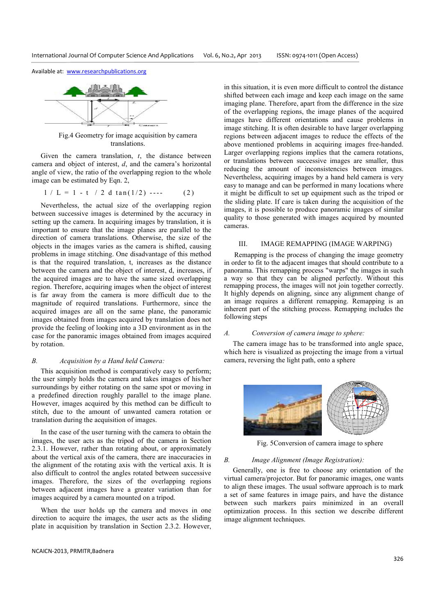

Fig.4 Geometry for image acquisition by camera translations.

Given the camera translation,  $t$ , the distance between camera and object of interest, *d*, and the camera's horizontal angle of view, the ratio of the overlapping region to the whole image can be estimated by Eqn. 2,

$$
1 / L = 1 - t / 2 d \tan(1/2) \cdots (2)
$$

 Nevertheless, the actual size of the overlapping region between successive images is determined by the accuracy in setting up the camera. In acquiring images by translation, it is important to ensure that the image planes are parallel to the direction of camera translations. Otherwise, the size of the objects in the images varies as the camera is shifted, causing problems in image stitching. One disadvantage of this method is that the required translation, t, increases as the distance between the camera and the object of interest, d, increases, if the acquired images are to have the same sized overlapping region. Therefore, acquiring images when the object of interest is far away from the camera is more difficult due to the magnitude of required translations. Furthermore, since the acquired images are all on the same plane, the panoramic images obtained from images acquired by translation does not provide the feeling of looking into a 3D environment as in the case for the panoramic images obtained from images acquired by rotation.

#### *B. Acquisition by a Hand held Camera:*

 This acquisition method is comparatively easy to perform; the user simply holds the camera and takes images of his/her surroundings by either rotating on the same spot or moving in a predefined direction roughly parallel to the image plane. However, images acquired by this method can be difficult to stitch, due to the amount of unwanted camera rotation or translation during the acquisition of images.

 In the case of the user turning with the camera to obtain the images, the user acts as the tripod of the camera in Section 2.3.1. However, rather than rotating about, or approximately about the vertical axis of the camera, there are inaccuracies in the alignment of the rotating axis with the vertical axis. It is also difficult to control the angles rotated between successive images. Therefore, the sizes of the overlapping regions between adjacent images have a greater variation than for images acquired by a camera mounted on a tripod.

 When the user holds up the camera and moves in one direction to acquire the images, the user acts as the sliding plate in acquisition by translation in Section 2.3.2. However,

in this situation, it is even more difficult to control the distance shifted between each image and keep each image on the same imaging plane. Therefore, apart from the difference in the size of the overlapping regions, the image planes of the acquired images have different orientations and cause problems in image stitching. It is often desirable to have larger overlapping regions between adjacent images to reduce the effects of the above mentioned problems in acquiring images free-handed. Larger overlapping regions implies that the camera rotations, or translations between successive images are smaller, thus reducing the amount of inconsistencies between images. Nevertheless, acquiring images by a hand held camera is very easy to manage and can be performed in many locations where it might be difficult to set up equipment such as the tripod or the sliding plate. If care is taken during the acquisition of the images, it is possible to produce panoramic images of similar quality to those generated with images acquired by mounted cameras.

# III. IMAGE REMAPPING (IMAGE WARPING)

Remapping is the process of changing the image geometry in order to fit to the adjacent images that should contribute to a panorama. This remapping process "warps" the images in such a way so that they can be aligned perfectly. Without this remapping process, the images will not join together correctly. It highly depends on aligning, since any alignment change of an image requires a different remapping. Remapping is an inherent part of the stitching process. Remapping includes the following steps

## *A. Conversion of camera image to sphere:*

 The camera image has to be transformed into angle space, which here is visualized as projecting the image from a virtual camera, reversing the light path, onto a sphere



Fig. 5Conversion of camera image to sphere

#### *B. Image Alignment (Image Registration):*

 Generally, one is free to choose any orientation of the virtual camera/projector. But for panoramic images, one wants to align these images. The usual software approach is to mark a set of same features in image pairs, and have the distance between such markers pairs minimized in an overall optimization process. In this section we describe different image alignment techniques.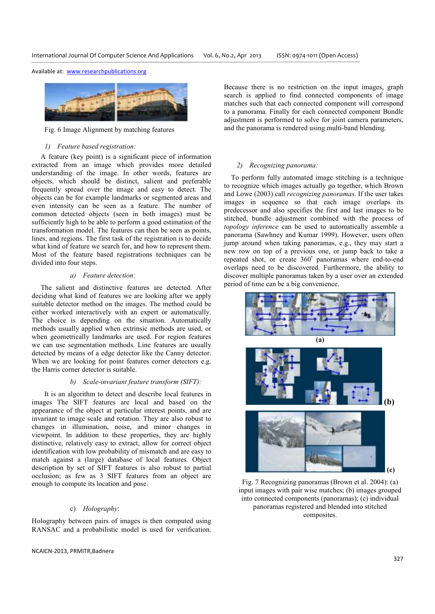

Fig. 6 Image Alignment by matching features

### *1) Feature based registration:*

 A feature (key point) is a significant piece of information extracted from an image which provides more detailed understanding of the image. In other words, features are objects, which should be distinct, salient and preferable frequently spread over the image and easy to detect. The objects can be for example landmarks or segmented areas and even intensity can be seen as a feature. The number of common detected objects (seen in both images) must be sufficiently high to be able to perform a good estimation of the transformation model. The features can then be seen as points, lines, and regions. The first task of the registration is to decide what kind of feature we search for, and how to represent them. Most of the feature based registrations techniques can be divided into four steps.

## *a) Feature detection:*

 The salient and distinctive features are detected. After deciding what kind of features we are looking after we apply suitable detector method on the images. The method could be either worked interactively with an expert or automatically. The choice is depending on the situation. Automatically methods usually applied when extrinsic methods are used, or when geometrically landmarks are used. For region features we can use segmentation methods. Line features are usually detected by means of a edge detector like the Canny detector. When we are looking for point features corner detectors e.g. the Harris corner detector is suitable.

#### *b) Scale-invariant feature transform (SIFT):*

 It is an algorithm to detect and describe local features in images The SIFT features are local and based on the appearance of the object at particular interest points, and are invariant to image scale and rotation. They are also robust to changes in illumination, noise, and minor changes in viewpoint. In addition to these properties, they are highly distinctive, relatively easy to extract, allow for correct object identification with low probability of mismatch and are easy to match against a (large) database of local features. Object description by set of SIFT features is also robust to partial occlusion; as few as 3 SIFT features from an object are enough to compute its location and pose.

#### c) *Holography*:

Holography between pairs of images is then computed using RANSAC and a probabilistic model is used for verification.

NCAICN-2013, PRMITR,Badnera

Because there is no restriction on the input images, graph search is applied to find connected components of image matches such that each connected component will correspond to a panorama. Finally for each connected component Bundle adjustment is performed to solve for joint camera parameters, and the panorama is rendered using multi-band blending.

## *2) Recognizing panorama:*

 To perform fully automated image stitching is a technique to recognize which images actually go together, which Brown and Lowe (2003) call *recognizing panoramas*. If the user takes images in sequence so that each image overlaps its predecessor and also specifies the first and last images to be stitched, bundle adjustment combined with the process of *topology inference* can be used to automatically assemble a panorama (Sawhney and Kumar 1999). However, users often jump around when taking panoramas, e.g., they may start a new row on top of a previous one, or jump back to take a repeated shot, or create 360 panoramas where end-to-end overlaps need to be discovered. Furthermore, the ability to discover multiple panoramas taken by a user over an extended period of time can be a big convenience.



Fig. 7 Recognizing panoramas (Brown et al. 2004): (a) input images with pair wise matches; (b) images grouped into connected components (panoramas); (c) individual panoramas registered and blended into stitched composites.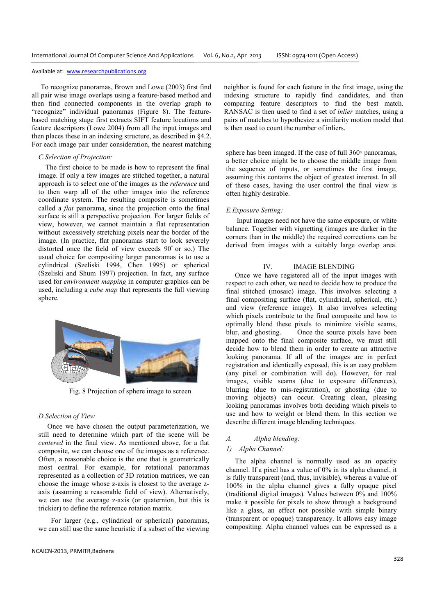To recognize panoramas, Brown and Lowe (2003) first find all pair wise image overlaps using a feature-based method and then find connected components in the overlap graph to "recognize" individual panoramas (Figure 8). The featurebased matching stage first extracts SIFT feature locations and feature descriptors (Lowe 2004) from all the input images and then places these in an indexing structure, as described in §4.2. For each image pair under consideration, the nearest matching

## *C.Selection of Projection:*

 The first choice to be made is how to represent the final image. If only a few images are stitched together, a natural approach is to select one of the images as the *reference* and to then warp all of the other images into the reference coordinate system. The resulting composite is sometimes called a *flat* panorama, since the projection onto the final surface is still a perspective projection. For larger fields of view, however, we cannot maintain a flat representation without excessively stretching pixels near the border of the image. (In practice, flat panoramas start to look severely distorted once the field of view exceeds 90• or so.) The usual choice for compositing larger panoramas is to use a cylindrical (Szeliski 1994, Chen 1995) or spherical (Szeliski and Shum 1997) projection. In fact, any surface used for *environment mapping* in computer graphics can be used, including a *cube map* that represents the full viewing sphere.



Fig. 8 Projection of sphere image to screen

#### *D.Selection of View*

 Once we have chosen the output parameterization, we still need to determine which part of the scene will be *centered* in the final view. As mentioned above, for a flat composite, we can choose one of the images as a reference. Often, a reasonable choice is the one that is geometrically most central. For example, for rotational panoramas represented as a collection of 3D rotation matrices, we can choose the image whose z-axis is closest to the average zaxis (assuming a reasonable field of view). Alternatively, we can use the average z-axis (or quaternion, but this is trickier) to define the reference rotation matrix.

 For larger (e.g., cylindrical or spherical) panoramas, we can still use the same heuristic if a subset of the viewing neighbor is found for each feature in the first image, using the indexing structure to rapidly find candidates, and then comparing feature descriptors to find the best match. RANSAC is then used to find a set of *inlier* matches, using a pairs of matches to hypothesize a similarity motion model that is then used to count the number of inliers.

sphere has been imaged. If the case of full 360◦ panoramas, a better choice might be to choose the middle image from the sequence of inputs, or sometimes the first image, assuming this contains the object of greatest interest. In all of these cases, having the user control the final view is often highly desirable.

## *E.Exposure Setting:*

 Input images need not have the same exposure, or white balance. Together with vignetting (images are darker in the corners than in the middle) the required corrections can be derived from images with a suitably large overlap area.

# IV. IMAGE BLENDING

 Once we have registered all of the input images with respect to each other, we need to decide how to produce the final stitched (mosaic) image. This involves selecting a final compositing surface (flat, cylindrical, spherical, etc.) and view (reference image). It also involves selecting which pixels contribute to the final composite and how to optimally blend these pixels to minimize visible seams,<br>blur. and ghosting. Once the source pixels have been Once the source pixels have been mapped onto the final composite surface, we must still decide how to blend them in order to create an attractive looking panorama. If all of the images are in perfect registration and identically exposed, this is an easy problem (any pixel or combination will do). However, for real images, visible seams (due to exposure differences), blurring (due to mis-registration), or ghosting (due to moving objects) can occur. Creating clean, pleasing looking panoramas involves both deciding which pixels to use and how to weight or blend them. In this section we describe different image blending techniques.

## *A. Alpha blending:*

### *1) Alpha Channel:*

 The alpha channel is normally used as an opacity channel. If a pixel has a value of 0% in its alpha channel, it is fully transparent (and, thus, invisible), whereas a value of 100% in the alpha channel gives a fully opaque pixel (traditional digital images). Values between 0% and 100% make it possible for pixels to show through a background like a glass, an effect not possible with simple binary (transparent or opaque) transparency. It allows easy image compositing. Alpha channel values can be expressed as a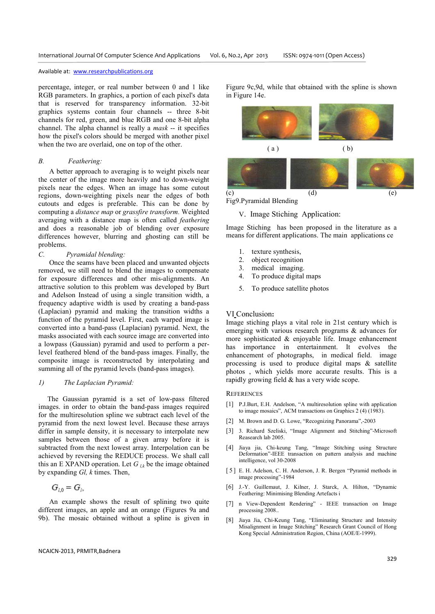percentage, integer, or real number between 0 and 1 like RGB parameters. In graphics, a portion of each pixel's data that is reserved for transparency information. 32-bit graphics systems contain four channels -- three 8-bit channels for red, green, and blue RGB and one 8-bit alpha channel. The alpha channel is really a *mask* -- it specifies how the pixel's colors should be merged with another pixel when the two are overlaid, one on top of the other.

#### *B. Feathering:*

 A better approach to averaging is to weight pixels near the center of the image more heavily and to down-weight pixels near the edges. When an image has some cutout regions, down-weighting pixels near the edges of both cutouts and edges is preferable. This can be done by computing a *distance map* or *grassfire transform.* Weighted averaging with a distance map is often called *feathering*  and does a reasonable job of blending over exposure differences however, blurring and ghosting can still be problems.

#### *C. Pyramidal blending:*

 Once the seams have been placed and unwanted objects removed, we still need to blend the images to compensate for exposure differences and other mis-alignments. An attractive solution to this problem was developed by Burt and Adelson Instead of using a single transition width, a frequency adaptive width is used by creating a band-pass (Laplacian) pyramid and making the transition widths a function of the pyramid level. First, each warped image is converted into a band-pass (Laplacian) pyramid. Next, the masks associated with each source image are converted into a lowpass (Gaussian) pyramid and used to perform a perlevel feathered blend of the band-pass images. Finally, the composite image is reconstructed by interpolating and summing all of the pyramid levels (band-pass images).

## *1) The Laplacian Pyramid:*

 The Gaussian pyramid is a set of low-pass filtered images. in order to obtain the band-pass images required for the multiresolution spline we subtract each level of the pyramid from the next lowest level. Because these arrays differ in sample density, it is necessary to interpolate new samples between those of a given array before it is subtracted from the next lowest array. Interpolation can be achieved by reversing the REDUCE process. We shall call this an E XPAND operation. Let  $G_{lk}$  be the image obtained by expanding *Gl, k* times. Then,

 $G_{10} = G_{1}$ 

An example shows the result of splining two quite different images, an apple and an orange (Figures 9a and 9b). The mosaic obtained without a spline is given in





#### V. Image Stiching Application:

Image Stiching has been proposed in the literature as a means for different applications. The main applications ce

- 1. texture synthesis,
- 2. object recognition
- 3. medical imaging.
- 4. To produce digital maps
- 5. To produce satellite photos

## VI Conclusion**:**

Image stiching plays a vital role in 21st century which is emerging with various research programs & advances for more sophisticated & enjoyable life. Image enhancement has importance in entertainment. It evolves the enhancement of photographs, in medical field. image processing is used to produce digital maps & satellite photos , which yields more accurate results. This is a rapidly growing field & has a very wide scope.

#### **REFERENCES**

- [1] P.J.Burt, E.H. Andelson, "A multiresolution spline with application to image mosaics", ACM transactions on Graphics 2 (4) (1983).
- [2] M. Brown and D. G. Lowe, "Recognizing Panorama",-2003
- [3] 3. Richard Szeliski, "Image Alignment and Stitching"-Microsoft Reasearch lab 2005.
- [4] Jiaya jia, Chi-keung Tang, "Image Stitching using Structure Deformation"-IEEE transaction on pattern analysis and machine intelligence, vol 30-2008
- [ 5 ] E. H. Adelson, C. H. Anderson, J. R. Bergen "Pyramid methods in image processing"-1984
- [6] J.-Y. Guillemaut, J. Kilner, J. Starck, A. Hilton, "Dynamic Feathering: Minimising Blending Artefacts i
- [7] n View-Dependent Rendering" IEEE transaction on Image processing 2008..
- [8] Jiaya Jia, Chi-Keung Tang, "Eliminating Structure and Intensity Misalignment in Image Stitching" Research Grant Council of Hong Kong Special Administration Region, China (AOE/E-1999).